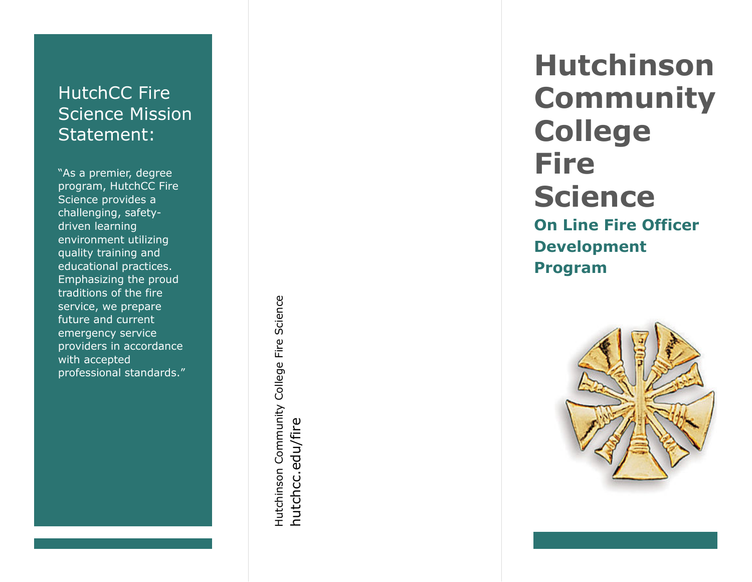# HutchCC Fire Science Mission Statement :

"As a premier, degree program, HutchCC Fire Science provides a challenging, safety driven learning environment utilizing quality training and educational practices. Emphasizing the proud traditions of the fire service, we prepare future and current emergency service providers in accordance with accepted<br>professional standards."

Hutchinson Community College Fire Science Hutchinson Community College Fire Science hutchcc.edu/fire hutchcc.edu/fire

**Hutchinson Community College Fire Science On Line Fire Officer Development Program**